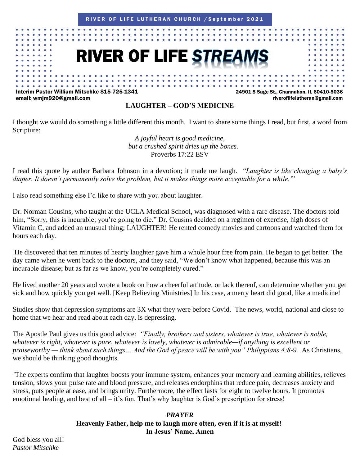

#### **LAUGHTER – GOD'S MEDICINE**

I thought we would do something a little different this month. I want to share some things I read, but first, a word from Scripture:

> *A joyful heart is good medicine, but a crushed spirit dries up the bones.* Proverbs 17:22 ESV

I read this quote by author Barbara Johnson in a devotion; it made me laugh. *"Laughter is like changing a baby's diaper. It doesn't permanently solve the problem, but it makes things more acceptable for a while.'*"

I also read something else I'd like to share with you about laughter.

Dr. Norman Cousins, who taught at the UCLA Medical School, was diagnosed with a rare disease. The doctors told him, "Sorry, this is incurable; you're going to die." Dr. Cousins decided on a regimen of exercise, high doses of Vitamin C, and added an unusual thing; LAUGHTER! He rented comedy movies and cartoons and watched them for hours each day.

He discovered that ten minutes of hearty laughter gave him a whole hour free from pain. He began to get better. The day came when he went back to the doctors, and they said, "We don't know what happened, because this was an incurable disease; but as far as we know, you're completely cured."

He lived another 20 years and wrote a book on how a cheerful attitude, or lack thereof, can determine whether you get sick and how quickly you get well. [Keep Believing Ministries] In his case, a merry heart did good, like a medicine!

Studies show that depression symptoms are 3X what they were before Covid. The news, world, national and close to home that we hear and read about each day, is depressing.

The Apostle Paul gives us this good advice: *"Finally, brothers and sisters, whatever is true, whatever is noble, whatever is right, whatever is pure, whatever is lovely, whatever is admirable—if anything is excellent or praiseworthy — think about such things….And the God of peace will be with you" Philippians 4:8-9.* As Christians, we should be thinking good thoughts.

*'*The experts confirm that laughter boosts your immune system, enhances your memory and learning abilities, relieves tension, slows your pulse rate and blood pressure, and releases endorphins that reduce pain, decreases anxiety and stress, puts people at ease, and brings unity. Furthermore, the effect lasts for eight to twelve hours. It promotes emotional healing, and best of all – it's fun. That's why laughter is God's prescription for stress!

#### *PRAYER* **Heavenly Father, help me to laugh more often, even if it is at myself! In Jesus' Name, Amen**

God bless you all! *Pastor Mitschke*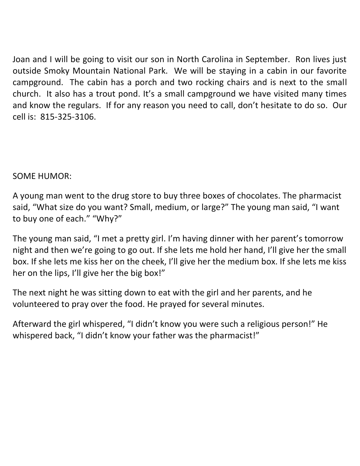Joan and I will be going to visit our son in North Carolina in September. Ron lives just outside Smoky Mountain National Park. We will be staying in a cabin in our favorite campground. The cabin has a porch and two rocking chairs and is next to the small church. It also has a trout pond. It's a small campground we have visited many times and know the regulars. If for any reason you need to call, don't hesitate to do so. Our cell is: 815-325-3106.

## SOME HUMOR:

A young man went to the drug store to buy three boxes of chocolates. The pharmacist said, "What size do you want? Small, medium, or large?" The young man said, "I want to buy one of each." "Why?"

The young man said, "I met a pretty girl. I'm having dinner with her parent's tomorrow night and then we're going to go out. If she lets me hold her hand, I'll give her the small box. If she lets me kiss her on the cheek, I'll give her the medium box. If she lets me kiss her on the lips, I'll give her the big box!"

The next night he was sitting down to eat with the girl and her parents, and he volunteered to pray over the food. He prayed for several minutes.

Afterward the girl whispered, "I didn't know you were such a religious person!" He whispered back, "I didn't know your father was the pharmacist!"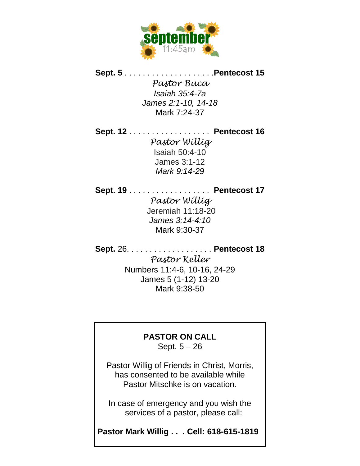

**Sept. 5** . . . . . . . . . . . . . . . . . . . .**Pentecost 15**

*Pastor Buca Isaiah 35:4-7a James 2:1-10, 14-18* Mark 7:24-37

**Sept. 12** . . . . . . . . . . . . . . . . . . **Pentecost 16** *Pastor Willig* Isaiah 50:4-10 James 3:1-12 *Mark 9:14-29*

**Sept. 19** . . . . . . . . . . . . . . . . . . **Pentecost 17** *Pastor Willig* Jeremiah 11:18-20 *James 3:14-4:10* Mark 9:30-37

**Sept.** 26. . . . . . . . . . . . . . . . . . . **Pentecost 18** *Pastor Keller* Numbers 11:4-6, 10-16, 24-29 James 5 (1-12) 13-20 Mark 9:38-50

### **PASTOR ON CALL**

Sept. 5 – 26

Pastor Willig of Friends in Christ, Morris, has consented to be available while Pastor Mitschke is on vacation.

In case of emergency and you wish the services of a pastor, please call:

**Pastor Mark Willig . . . Cell: 618-615-1819**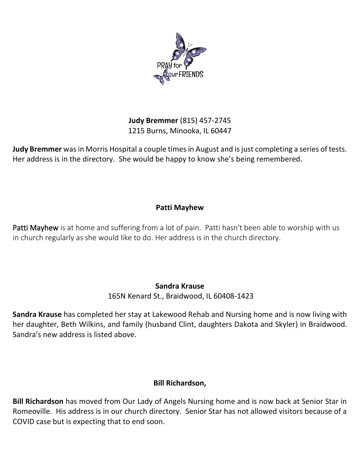

**Judy Bremmer** (815) 457-2745 1215 Burns, Minooka, IL 60447

**Judy Bremmer** was in Morris Hospital a couple times in August and is just completing a series of tests. Her address is in the directory. She would be happy to know she's being remembered.

#### **Patti Mayhew**

Patti Mayhew is at home and suffering from a lot of pain. Patti hasn't been able to worship with us in church regularly as she would like to do. Her address is in the church directory.

#### **Sandra Krause**

165N Kenard St., Braidwood, IL 60408-1423

**Sandra Krause** has completed her stay at Lakewood Rehab and Nursing home and is now living with her daughter, Beth Wilkins, and family (husband Clint, daughters Dakota and Skyler) in Braidwood. Sandra's new address is listed above.

### **Bill Richardson,**

**Bill Richardson** has moved from Our Lady of Angels Nursing home and is now back at Senior Star in Romeoville. His address is in our church directory. Senior Star has not allowed visitors because of a COVID case but is expecting that to end soon.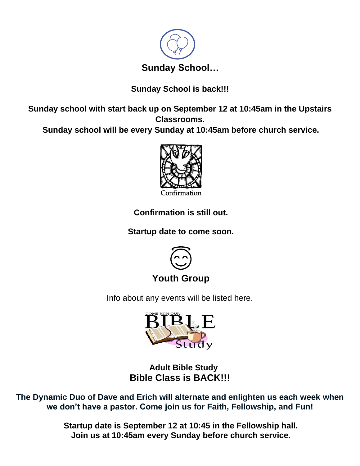

## **Sunday School is back!!!**

**Sunday school with start back up on September 12 at 10:45am in the Upstairs Classrooms.**

**Sunday school will be every Sunday at 10:45am before church service.**



**Confirmation is still out.**

**Startup date to come soon.**



## **Youth Group**

Info about any events will be listed here.



**[Adult](https://creativecommons.org/licenses/by-nc-sa/3.0/) Bible [Stud](https://creativecommons.org/licenses/by-nc-sa/3.0/)y Bible Class is BACK!!!**

**The Dynamic Duo of Dave and Erich will alternate and enlighten us each week when we don't have a pastor. Come join us for Faith, Fellowship, and Fun!**

> **Startup date is September 12 at 10:45 in the Fellowship hall. Join us at 10:45am every Sunday before church service.**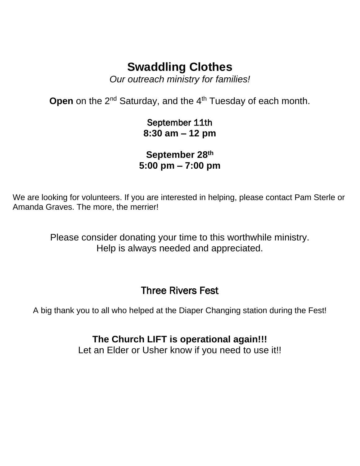# **Swaddling Clothes**

*Our outreach ministry for families!*

**Open** on the 2<sup>nd</sup> Saturday, and the 4<sup>th</sup> Tuesday of each month.

September 11th **8:30 am – 12 pm**

**September 28th 5:00 pm – 7:00 pm**

We are looking for volunteers. If you are interested in helping, please contact Pam Sterle or Amanda Graves. The more, the merrier!

> Please consider donating your time to this worthwhile ministry. Help is always needed and appreciated.

# Three Rivers Fest

A big thank you to all who helped at the Diaper Changing station during the Fest!

**The Church LIFT is operational again!!!** Let an Elder or Usher know if you need to use it!!